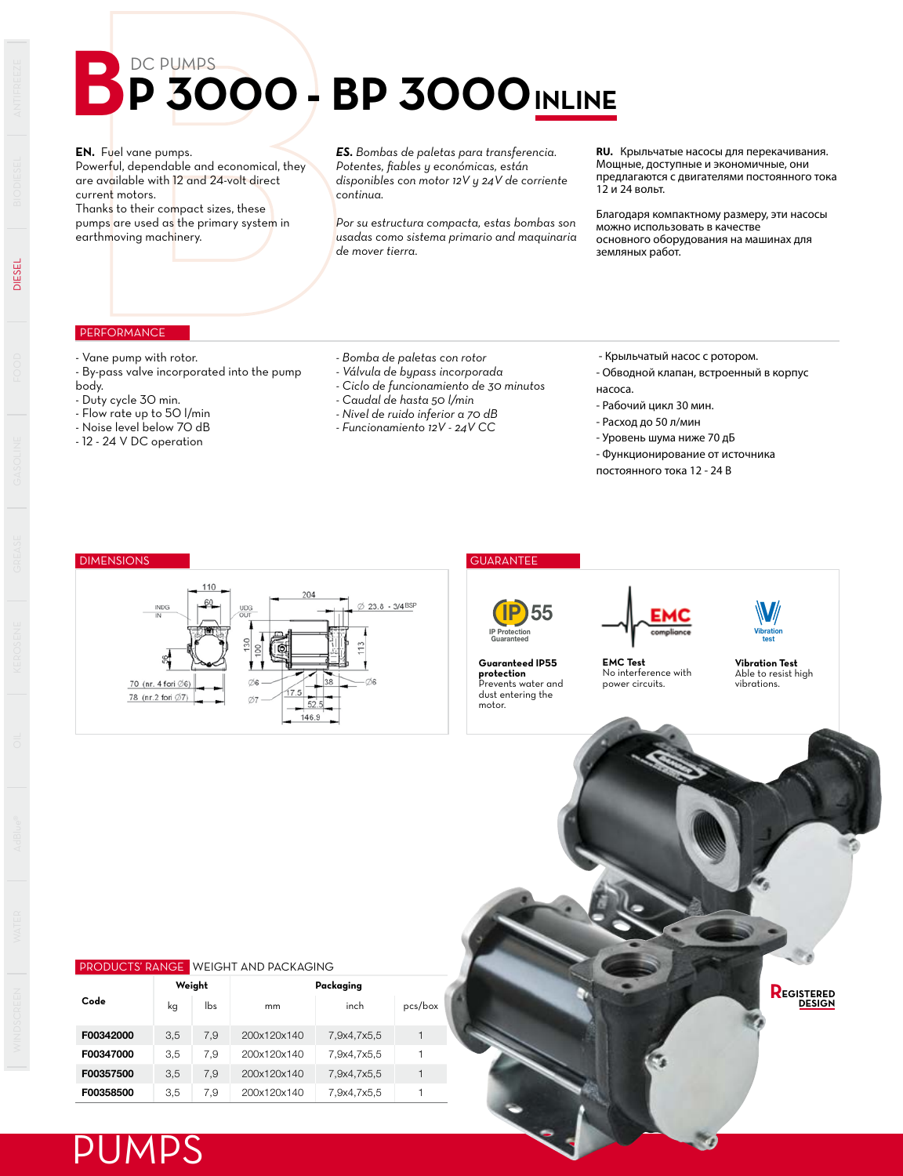# **BP 3000 BP 3000 INLINE**

**EN.** Fuel vane pumps.

Powerful, dependable and economical, they are available with 12 and 24-volt direct current motors.

Thanks to their compact sizes, these pumps are used as the primary system in earthmoving machinery.

#### *ES. Bombas de paletas para transferencia. Potentes, fiables y económicas, están disponibles con motor 12V y 24V de corriente continua.*

*Por su estructura compacta, estas bombas son usadas como sistema primario and maquinaria de mover tierra.*

**RU.** Крыльчатые насосы для перекачивания. Мощные, доступные и экономичные, они предлагаются с двигателями постоянного тока  $12 \mu 24$  вольт.

Благодаря компактному размеру, эти насосы можно использовать в качестве основного оборудования на машинах для земляных работ.

### **PERFORMANCE**

- Vane pump with rotor.
- By-pass valve incorporated into the pump body.
- Duty cycle 30 min.
- Flow rate up to 50 l/min
- Noise level below 70 dB
- 12 24 V DC operation
- *Bomba de paletas con rotor*
- *Válvula de bypass incorporada*
- *Ciclo de funcionamiento de 30 minutos*
- *Caudal de hasta 50 l/min*
- *Nivel de ruido inferior a 70 dB*
- *Funcionamiento 12V 24V CC*

- Крыльчатый насос с ротором.

- Обводной клапан, встроенный в корпус
- насоса.
- Рабочий цикл 30 мин.
- Расход до 50 л/мин
- Уровень шума ниже 70 дБ
- Функционирование от источника
- постоянного тока 12 24 В

## DIMENSIONS GUARANTEE





**Guaranteed IP55 protection** Prevents water and dust entering the

motor.



**EMC Test** No interference with power circuits.

**Vibration Test** Able to resist high vibrations.

**EGISTERED DESIGN R**

Vibration test V

### PRODUCTS' RANGE WEIGHT AND PACKAGING

| Code      | Weight |     | Packaging   |             |         |  |  |  |
|-----------|--------|-----|-------------|-------------|---------|--|--|--|
|           | kg     | lbs | mm          | inch        | pcs/box |  |  |  |
| F00342000 | 3.5    | 7.9 | 200x120x140 | 7,9x4,7x5,5 |         |  |  |  |
| F00347000 | 3.5    | 7.9 | 200x120x140 | 7,9x4,7x5,5 |         |  |  |  |
| F00357500 | 3.5    | 7.9 | 200x120x140 | 7,9x4,7x5,5 |         |  |  |  |
| F00358500 | 3.5    | 7.9 | 200x120x140 | 7,9x4,7x5,5 |         |  |  |  |



DIESEL